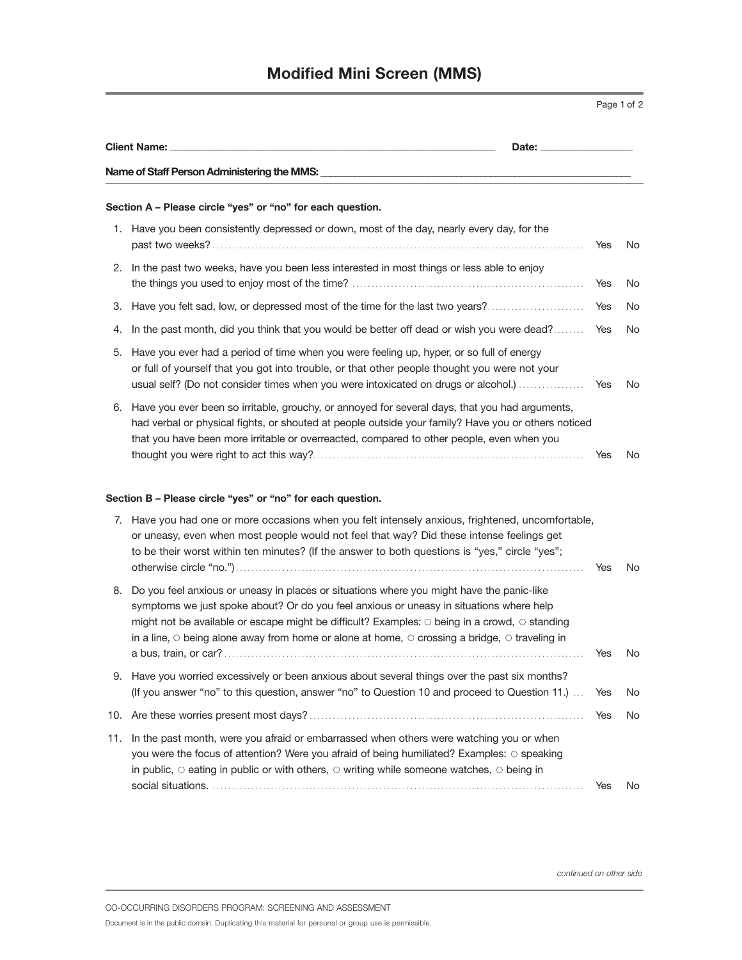|     | <b>Client Name:</b>                                                                                                                                                                                                                                                                                                                                                                                      |            |     |
|-----|----------------------------------------------------------------------------------------------------------------------------------------------------------------------------------------------------------------------------------------------------------------------------------------------------------------------------------------------------------------------------------------------------------|------------|-----|
|     | Name of Staff Person Administering the MMS:                                                                                                                                                                                                                                                                                                                                                              |            |     |
|     | Section A - Please circle "yes" or "no" for each question.                                                                                                                                                                                                                                                                                                                                               |            |     |
|     | 1. Have you been consistently depressed or down, most of the day, nearly every day, for the                                                                                                                                                                                                                                                                                                              | Yes        | No  |
|     | 2. In the past two weeks, have you been less interested in most things or less able to enjoy                                                                                                                                                                                                                                                                                                             | Yes        | No  |
| З.  | Have you felt sad, low, or depressed most of the time for the last two years?                                                                                                                                                                                                                                                                                                                            | Yes        | No  |
| 4.  | In the past month, did you think that you would be better off dead or wish you were dead?                                                                                                                                                                                                                                                                                                                | <b>Yes</b> | No  |
| 5.  | Have you ever had a period of time when you were feeling up, hyper, or so full of energy<br>or full of yourself that you got into trouble, or that other people thought you were not your<br>usual self? (Do not consider times when you were intoxicated on drugs or alcohol.)                                                                                                                          | Yes        | No  |
|     | 6. Have you ever been so irritable, grouchy, or annoyed for several days, that you had arguments,<br>had verbal or physical fights, or shouted at people outside your family? Have you or others noticed<br>that you have been more irritable or overreacted, compared to other people, even when you                                                                                                    | <b>Yes</b> | No. |
|     | Section B - Please circle "yes" or "no" for each question.                                                                                                                                                                                                                                                                                                                                               |            |     |
|     | 7. Have you had one or more occasions when you felt intensely anxious, frightened, uncomfortable,<br>or uneasy, even when most people would not feel that way? Did these intense feelings get<br>to be their worst within ten minutes? (If the answer to both questions is "yes," circle "yes";                                                                                                          | Yes        | No. |
| 8.  | Do you feel anxious or uneasy in places or situations where you might have the panic-like<br>symptoms we just spoke about? Or do you feel anxious or uneasy in situations where help<br>might not be available or escape might be difficult? Examples: O being in a crowd, O standing<br>in a line, $\circ$ being alone away from home or alone at home, $\circ$ crossing a bridge, $\circ$ traveling in | Yes        | No. |
|     | 9. Have you worried excessively or been anxious about several things over the past six months?<br>(If you answer "no" to this question, answer "no" to Question 10 and proceed to Question 11.)                                                                                                                                                                                                          | Yes        | No  |
|     |                                                                                                                                                                                                                                                                                                                                                                                                          | Yes        | No  |
| 11. | In the past month, were you afraid or embarrassed when others were watching you or when<br>you were the focus of attention? Were you afraid of being humiliated? Examples: O speaking<br>in public, $\circ$ eating in public or with others, $\circ$ writing while someone watches, $\circ$ being in                                                                                                     |            |     |
|     |                                                                                                                                                                                                                                                                                                                                                                                                          | Yes        | No. |

*continued on other side*

CO-OCCURRING DISORDERS PROGRAM: SCREENING AND ASSESSMENT

Document is in the public domain. Duplicating this material for personal or group use is permissible.